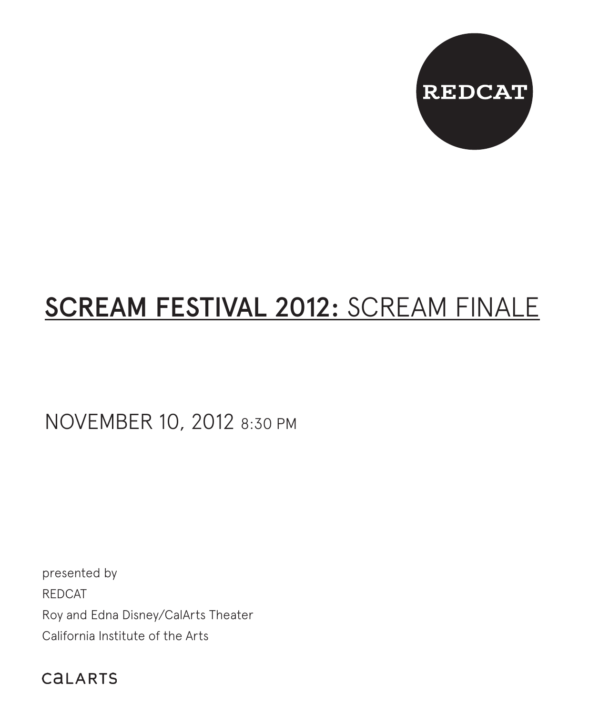

# SCREAM FESTIVAL 2012: SCREAM FINALE

NOVEMBER 10, 2012 8:30 PM

presented by REDCAT Roy and Edna Disney/CalArts Theater California Institute of the Arts

CALARTS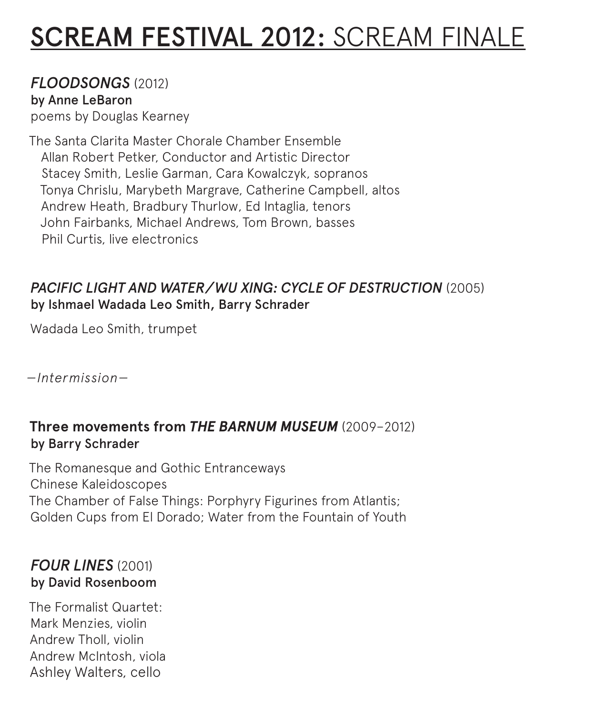# SCREAM FESTIVAL 2012: SCREAM FINALE

#### *FLOODSONGS* (2012) by Anne LeBaron

poems by Douglas Kearney

The Santa Clarita Master Chorale Chamber Ensemble Allan Robert Petker, Conductor and Artistic Director Stacey Smith, Leslie Garman, Cara Kowalczyk, sopranos Tonya Chrislu, Marybeth Margrave, Catherine Campbell, altos Andrew Heath, Bradbury Thurlow, Ed Intaglia, tenors John Fairbanks, Michael Andrews, Tom Brown, basses Phil Curtis, live electronics

### *PACIFIC LIGHT AND WATER/WU XING: CYCLE OF DESTRUCTION* (2005) by Ishmael Wadada Leo Smith, Barry Schrader

Wadada Leo Smith, trumpet

*—Intermission—*

### **Three movements from** *THE BARNUM MUSEUM* (2009–2012) by Barry Schrader

The Romanesque and Gothic Entranceways Chinese Kaleidoscopes The Chamber of False Things: Porphyry Figurines from Atlantis; Golden Cups from El Dorado; Water from the Fountain of Youth

## *FOUR LINES* (2001) by David Rosenboom

The Formalist Quartet: Mark Menzies, violin Andrew Tholl, violin Andrew McIntosh, viola Ashley Walters, cello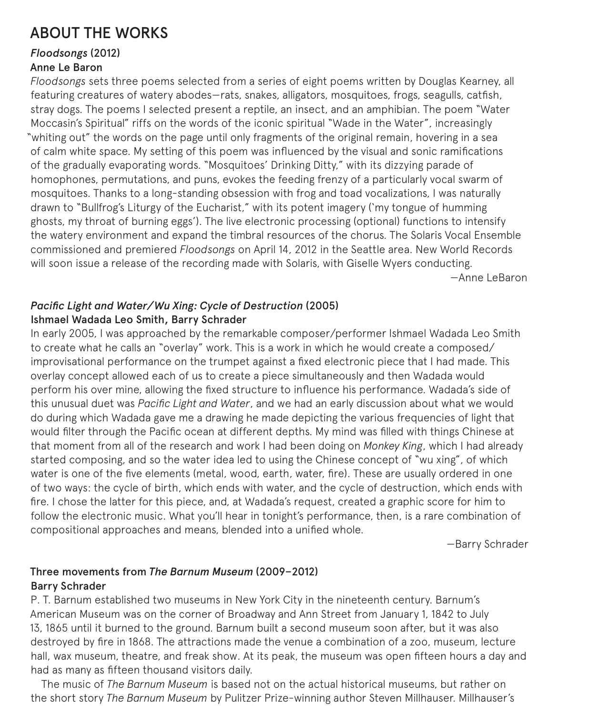## ABOUT THE WORKS

## *Floodsongs* (2012)

#### Anne Le Baron

*Floodsongs* sets three poems selected from a series of eight poems written by Douglas Kearney, all featuring creatures of watery abodes—rats, snakes, alligators, mosquitoes, frogs, seagulls, catfish, stray dogs. The poems I selected present a reptile, an insect, and an amphibian. The poem "Water Moccasin's Spiritual" riffs on the words of the iconic spiritual "Wade in the Water", increasingly "whiting out" the words on the page until only fragments of the original remain, hovering in a sea of calm white space. My setting of this poem was influenced by the visual and sonic ramifications of the gradually evaporating words. "Mosquitoes' Drinking Ditty," with its dizzying parade of homophones, permutations, and puns, evokes the feeding frenzy of a particularly vocal swarm of mosquitoes. Thanks to a long-standing obsession with frog and toad vocalizations, I was naturally drawn to "Bullfrog's Liturgy of the Eucharist," with its potent imagery ('my tongue of humming ghosts, my throat of burning eggs'). The live electronic processing (optional) functions to intensify the watery environment and expand the timbral resources of the chorus. The Solaris Vocal Ensemble commissioned and premiered *Floodsongs* on April 14, 2012 in the Seattle area. New World Records will soon issue a release of the recording made with Solaris, with Giselle Wyers conducting. —Anne LeBaron

#### *Pacific Light and Water/Wu Xing: Cycle of Destruction* (2005) Ishmael Wadada Leo Smith, Barry Schrader

In early 2005, I was approached by the remarkable composer/performer Ishmael Wadada Leo Smith to create what he calls an "overlay" work. This is a work in which he would create a composed/ improvisational performance on the trumpet against a fixed electronic piece that I had made. This overlay concept allowed each of us to create a piece simultaneously and then Wadada would perform his over mine, allowing the fixed structure to influence his performance. Wadada's side of this unusual duet was *Pacific Light and Water*, and we had an early discussion about what we would do during which Wadada gave me a drawing he made depicting the various frequencies of light that would filter through the Pacific ocean at different depths. My mind was filled with things Chinese at that moment from all of the research and work I had been doing on *Monkey King*, which I had already started composing, and so the water idea led to using the Chinese concept of "wu xing", of which water is one of the five elements (metal, wood, earth, water, fire). These are usually ordered in one of two ways: the cycle of birth, which ends with water, and the cycle of destruction, which ends with fire. I chose the latter for this piece, and, at Wadada's request, created a graphic score for him to follow the electronic music. What you'll hear in tonight's performance, then, is a rare combination of compositional approaches and means, blended into a unified whole.

—Barry Schrader

#### Three movements from *The Barnum Museum* (2009–2012) Barry Schrader

P. T. Barnum established two museums in New York City in the nineteenth century. Barnum's American Museum was on the corner of Broadway and Ann Street from January 1, 1842 to July 13, 1865 until it burned to the ground. Barnum built a second museum soon after, but it was also destroyed by fire in 1868. The attractions made the venue a combination of a zoo, museum, lecture hall, wax museum, theatre, and freak show. At its peak, the museum was open fifteen hours a day and had as many as fifteen thousand visitors daily.

The music of *The Barnum Museum* is based not on the actual historical museums, but rather on the short story *The Barnum Museum* by Pulitzer Prize-winning author Steven Millhauser. Millhauser's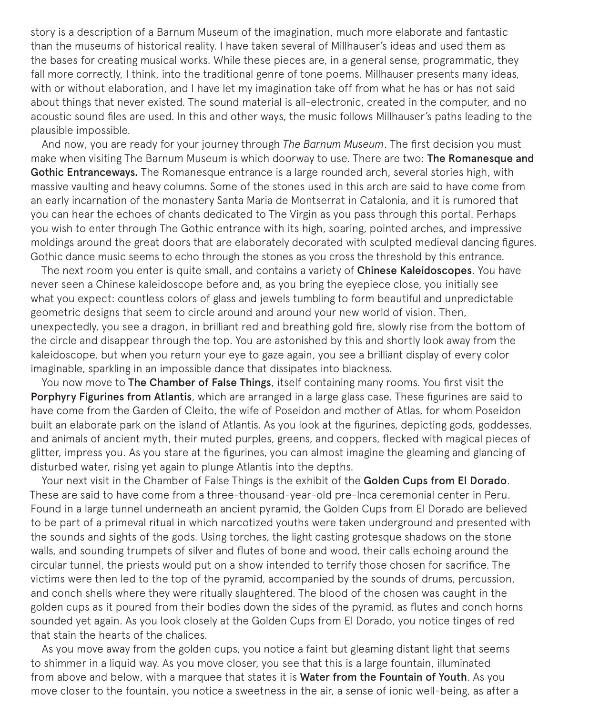story is a description of a Barnum Museum of the imagination, much more elaborate and fantastic than the museums of historical reality. I have taken several of Millhauser's ideas and used them as the bases for creating musical works. While these pieces are, in a general sense, programmatic, they fall more correctly, I think, into the traditional genre of tone poems. Millhauser presents many ideas, with or without elaboration, and I have let my imagination take off from what he has or has not said about things that never existed. The sound material is all-electronic, created in the computer, and no acoustic sound files are used. In this and other ways, the music follows Millhauser's paths leading to the plausible impossible.

And now, you are ready for your journey through *The Barnum Museum*. The first decision you must make when visiting The Barnum Museum is which doorway to use. There are two: The Romanesque and Gothic Entranceways. The Romanesque entrance is a large rounded arch, several stories high, with massive vaulting and heavy columns. Some of the stones used in this arch are said to have come from an early incarnation of the monastery Santa Maria de Montserrat in Catalonia, and it is rumored that you can hear the echoes of chants dedicated to The Virgin as you pass through this portal. Perhaps you wish to enter through The Gothic entrance with its high, soaring, pointed arches, and impressive moldings around the great doors that are elaborately decorated with sculpted medieval dancing figures. Gothic dance music seems to echo through the stones as you cross the threshold by this entrance.

The next room you enter is quite small, and contains a variety of Chinese Kaleidoscopes. You have never seen a Chinese kaleidoscope before and, as you bring the eyepiece close, you initially see what you expect: countless colors of glass and jewels tumbling to form beautiful and unpredictable geometric designs that seem to circle around and around your new world of vision. Then, unexpectedly, you see a dragon, in brilliant red and breathing gold fire, slowly rise from the bottom of the circle and disappear through the top. You are astonished by this and shortly look away from the kaleidoscope, but when you return your eye to gaze again, you see a brilliant display of every color imaginable, sparkling in an impossible dance that dissipates into blackness.

You now move to The Chamber of False Things, itself containing many rooms. You first visit the Porphyry Figurines from Atlantis, which are arranged in a large glass case. These figurines are said to have come from the Garden of Cleito, the wife of Poseidon and mother of Atlas, for whom Poseidon built an elaborate park on the island of Atlantis. As you look at the figurines, depicting gods, goddesses, and animals of ancient myth, their muted purples, greens, and coppers, flecked with magical pieces of glitter, impress you. As you stare at the figurines, you can almost imagine the gleaming and glancing of disturbed water, rising yet again to plunge Atlantis into the depths.

Your next visit in the Chamber of False Things is the exhibit of the Golden Cups from El Dorado. These are said to have come from a three-thousand-year-old pre-Inca ceremonial center in Peru. Found in a large tunnel underneath an ancient pyramid, the Golden Cups from El Dorado are believed to be part of a primeval ritual in which narcotized youths were taken underground and presented with the sounds and sights of the gods. Using torches, the light casting grotesque shadows on the stone walls, and sounding trumpets of silver and flutes of bone and wood, their calls echoing around the circular tunnel, the priests would put on a show intended to terrify those chosen for sacrifice. The victims were then led to the top of the pyramid, accompanied by the sounds of drums, percussion, and conch shells where they were ritually slaughtered. The blood of the chosen was caught in the golden cups as it poured from their bodies down the sides of the pyramid, as flutes and conch horns sounded yet again. As you look closely at the Golden Cups from El Dorado, you notice tinges of red that stain the hearts of the chalices.

As you move away from the golden cups, you notice a faint but gleaming distant light that seems to shimmer in a liquid way. As you move closer, you see that this is a large fountain, illuminated from above and below, with a marquee that states it is Water from the Fountain of Youth. As you move closer to the fountain, you notice a sweetness in the air, a sense of ionic well-being, as after a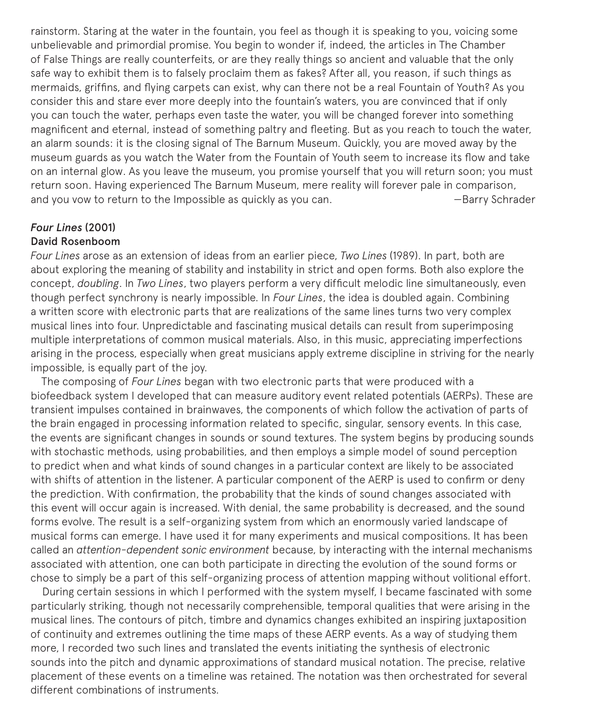rainstorm. Staring at the water in the fountain, you feel as though it is speaking to you, voicing some unbelievable and primordial promise. You begin to wonder if, indeed, the articles in The Chamber of False Things are really counterfeits, or are they really things so ancient and valuable that the only safe way to exhibit them is to falsely proclaim them as fakes? After all, you reason, if such things as mermaids, griffins, and flying carpets can exist, why can there not be a real Fountain of Youth? As you consider this and stare ever more deeply into the fountain's waters, you are convinced that if only you can touch the water, perhaps even taste the water, you will be changed forever into something magnificent and eternal, instead of something paltry and fleeting. But as you reach to touch the water, an alarm sounds: it is the closing signal of The Barnum Museum. Quickly, you are moved away by the museum guards as you watch the Water from the Fountain of Youth seem to increase its flow and take on an internal glow. As you leave the museum, you promise yourself that you will return soon; you must return soon. Having experienced The Barnum Museum, mere reality will forever pale in comparison, and you vow to return to the Impossible as quickly as you can. The Summan Harry Schrader

# *Four Lines* (2001)

#### David Rosenboom

*Four Lines* arose as an extension of ideas from an earlier piece, *Two Lines* (1989). In part, both are about exploring the meaning of stability and instability in strict and open forms. Both also explore the concept, *doubling*. In *Two Lines*, two players perform a very difficult melodic line simultaneously, even though perfect synchrony is nearly impossible. In *Four Lines*, the idea is doubled again. Combining a written score with electronic parts that are realizations of the same lines turns two very complex musical lines into four. Unpredictable and fascinating musical details can result from superimposing multiple interpretations of common musical materials. Also, in this music, appreciating imperfections arising in the process, especially when great musicians apply extreme discipline in striving for the nearly impossible, is equally part of the joy.

The composing of *Four Lines* began with two electronic parts that were produced with a biofeedback system I developed that can measure auditory event related potentials (AERPs). These are transient impulses contained in brainwaves, the components of which follow the activation of parts of the brain engaged in processing information related to specific, singular, sensory events. In this case, the events are significant changes in sounds or sound textures. The system begins by producing sounds with stochastic methods, using probabilities, and then employs a simple model of sound perception to predict when and what kinds of sound changes in a particular context are likely to be associated with shifts of attention in the listener. A particular component of the AERP is used to confirm or deny the prediction. With confirmation, the probability that the kinds of sound changes associated with this event will occur again is increased. With denial, the same probability is decreased, and the sound forms evolve. The result is a self-organizing system from which an enormously varied landscape of musical forms can emerge. I have used it for many experiments and musical compositions. It has been called an *attention-dependent sonic environment* because, by interacting with the internal mechanisms associated with attention, one can both participate in directing the evolution of the sound forms or chose to simply be a part of this self-organizing process of attention mapping without volitional effort.

During certain sessions in which I performed with the system myself, I became fascinated with some particularly striking, though not necessarily comprehensible, temporal qualities that were arising in the musical lines. The contours of pitch, timbre and dynamics changes exhibited an inspiring juxtaposition of continuity and extremes outlining the time maps of these AERP events. As a way of studying them more, I recorded two such lines and translated the events initiating the synthesis of electronic sounds into the pitch and dynamic approximations of standard musical notation. The precise, relative placement of these events on a timeline was retained. The notation was then orchestrated for several different combinations of instruments.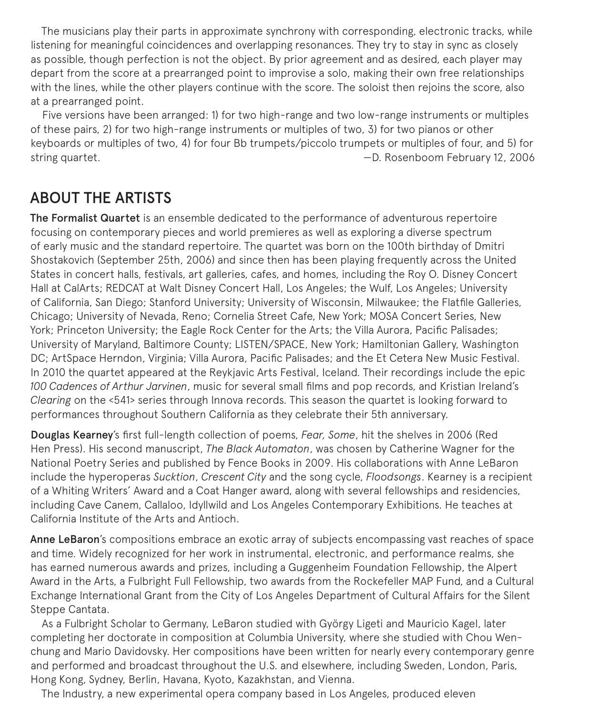The musicians play their parts in approximate synchrony with corresponding, electronic tracks, while listening for meaningful coincidences and overlapping resonances. They try to stay in sync as closely as possible, though perfection is not the object. By prior agreement and as desired, each player may depart from the score at a prearranged point to improvise a solo, making their own free relationships with the lines, while the other players continue with the score. The soloist then rejoins the score, also at a prearranged point.

Five versions have been arranged: 1) for two high-range and two low-range instruments or multiples of these pairs, 2) for two high-range instruments or multiples of two, 3) for two pianos or other keyboards or multiples of two, 4) for four Bb trumpets/piccolo trumpets or multiples of four, and 5) for string quartet. —D. Rosenboom February 12, 2006

## ABOUT THE ARTISTS

The Formalist Quartet is an ensemble dedicated to the performance of adventurous repertoire focusing on contemporary pieces and world premieres as well as exploring a diverse spectrum of early music and the standard repertoire. The quartet was born on the 100th birthday of Dmitri Shostakovich (September 25th, 2006) and since then has been playing frequently across the United States in concert halls, festivals, art galleries, cafes, and homes, including the Roy O. Disney Concert Hall at CalArts; REDCAT at Walt Disney Concert Hall, Los Angeles; the Wulf, Los Angeles; University of California, San Diego; Stanford University; University of Wisconsin, Milwaukee; the Flatfile Galleries, Chicago; University of Nevada, Reno; Cornelia Street Cafe, New York; MOSA Concert Series, New York; Princeton University; the Eagle Rock Center for the Arts; the Villa Aurora, Pacific Palisades; University of Maryland, Baltimore County; LISTEN/SPACE, New York; Hamiltonian Gallery, Washington DC; ArtSpace Herndon, Virginia; Villa Aurora, Pacific Palisades; and the Et Cetera New Music Festival. In 2010 the quartet appeared at the Reykjavic Arts Festival, Iceland. Their recordings include the epic *100 Cadences of Arthur Jarvinen*, music for several small films and pop records, and Kristian Ireland's *Clearing* on the <541> series through Innova records. This season the quartet is looking forward to performances throughout Southern California as they celebrate their 5th anniversary.

Douglas Kearney's first full-length collection of poems, *Fear, Some*, hit the shelves in 2006 (Red Hen Press). His second manuscript, *The Black Automaton*, was chosen by Catherine Wagner for the National Poetry Series and published by Fence Books in 2009. His collaborations with Anne LeBaron include the hyperoperas *Sucktion*, *Crescent City* and the song cycle, *Floodsongs*. Kearney is a recipient of a Whiting Writers' Award and a Coat Hanger award, along with several fellowships and residencies, including Cave Canem, Callaloo, Idyllwild and Los Angeles Contemporary Exhibitions. He teaches at California Institute of the Arts and Antioch.

Anne LeBaron's compositions embrace an exotic array of subjects encompassing vast reaches of space and time. Widely recognized for her work in instrumental, electronic, and performance realms, she has earned numerous awards and prizes, including a Guggenheim Foundation Fellowship, the Alpert Award in the Arts, a Fulbright Full Fellowship, two awards from the Rockefeller MAP Fund, and a Cultural Exchange International Grant from the City of Los Angeles Department of Cultural Affairs for the Silent Steppe Cantata.

As a Fulbright Scholar to Germany, LeBaron studied with György Ligeti and Mauricio Kagel, later completing her doctorate in composition at Columbia University, where she studied with Chou Wenchung and Mario Davidovsky. Her compositions have been written for nearly every contemporary genre and performed and broadcast throughout the U.S. and elsewhere, including Sweden, London, Paris, Hong Kong, Sydney, Berlin, Havana, Kyoto, Kazakhstan, and Vienna.

The Industry, a new experimental opera company based in Los Angeles, produced eleven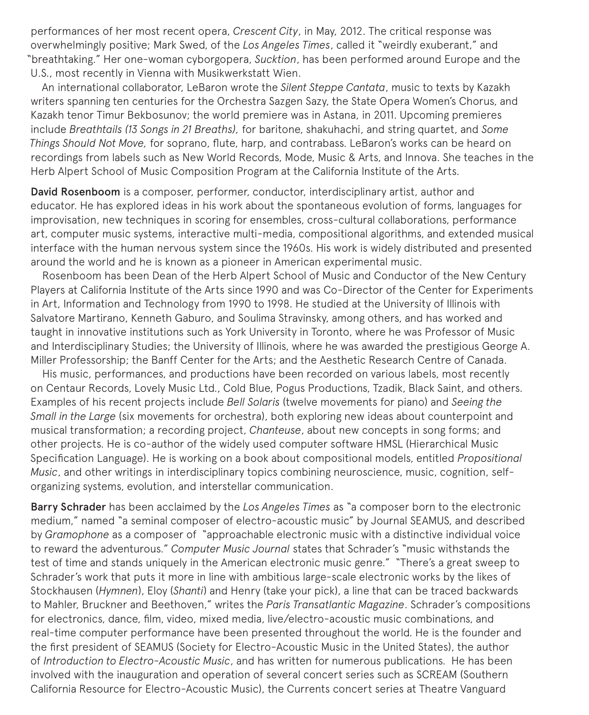performances of her most recent opera, *Crescent City*, in May, 2012. The critical response was overwhelmingly positive; Mark Swed, of the *Los Angeles Times*, called it "weirdly exuberant," and "breathtaking." Her one-woman cyborgopera, *Sucktion*, has been performed around Europe and the U.S., most recently in Vienna with Musikwerkstatt Wien.

An international collaborator, LeBaron wrote the *Silent Steppe Cantata*, music to texts by Kazakh writers spanning ten centuries for the Orchestra Sazgen Sazy, the State Opera Women's Chorus, and Kazakh tenor Timur Bekbosunov; the world premiere was in Astana, in 2011. Upcoming premieres include *Breathtails (13 Songs in 21 Breaths),* for baritone, shakuhachi, and string quartet, and *Some Things Should Not Move,* for soprano, flute, harp, and contrabass. LeBaron's works can be heard on recordings from labels such as New World Records, Mode, Music & Arts, and Innova. She teaches in the Herb Alpert School of Music Composition Program at the California Institute of the Arts.

David Rosenboom is a composer, performer, conductor, interdisciplinary artist, author and educator. He has explored ideas in his work about the spontaneous evolution of forms, languages for improvisation, new techniques in scoring for ensembles, cross-cultural collaborations, performance art, computer music systems, interactive multi-media, compositional algorithms, and extended musical interface with the human nervous system since the 1960s. His work is widely distributed and presented around the world and he is known as a pioneer in American experimental music.

Rosenboom has been Dean of the Herb Alpert School of Music and Conductor of the New Century Players at California Institute of the Arts since 1990 and was Co-Director of the Center for Experiments in Art, Information and Technology from 1990 to 1998. He studied at the University of Illinois with Salvatore Martirano, Kenneth Gaburo, and Soulima Stravinsky, among others, and has worked and taught in innovative institutions such as York University in Toronto, where he was Professor of Music and Interdisciplinary Studies; the University of Illinois, where he was awarded the prestigious George A. Miller Professorship; the Banff Center for the Arts; and the Aesthetic Research Centre of Canada.

His music, performances, and productions have been recorded on various labels, most recently on Centaur Records, Lovely Music Ltd., Cold Blue, Pogus Productions, Tzadik, Black Saint, and others. Examples of his recent projects include *Bell Solaris* (twelve movements for piano) and *Seeing the Small in the Large* (six movements for orchestra), both exploring new ideas about counterpoint and musical transformation; a recording project, *Chanteuse*, about new concepts in song forms; and other projects. He is co-author of the widely used computer software HMSL (Hierarchical Music Specification Language). He is working on a book about compositional models, entitled *Propositional Music*, and other writings in interdisciplinary topics combining neuroscience, music, cognition, selforganizing systems, evolution, and interstellar communication.

Barry Schrader has been acclaimed by the *Los Angeles Times* as "a composer born to the electronic medium," named "a seminal composer of electro-acoustic music" by Journal SEAMUS, and described by *Gramophone* as a composer of "approachable electronic music with a distinctive individual voice to reward the adventurous." *Computer Music Journal* states that Schrader's "music withstands the test of time and stands uniquely in the American electronic music genre." "There's a great sweep to Schrader's work that puts it more in line with ambitious large-scale electronic works by the likes of Stockhausen (*Hymnen*), Eloy (*Shanti*) and Henry (take your pick), a line that can be traced backwards to Mahler, Bruckner and Beethoven," writes the *Paris Transatlantic Magazine*. Schrader's compositions for electronics, dance, film, video, mixed media, live/electro-acoustic music combinations, and real-time computer performance have been presented throughout the world. He is the founder and the first president of SEAMUS (Society for Electro-Acoustic Music in the United States), the author of *Introduction to Electro-Acoustic Music*, and has written for numerous publications. He has been involved with the inauguration and operation of several concert series such as SCREAM (Southern California Resource for Electro-Acoustic Music), the Currents concert series at Theatre Vanguard